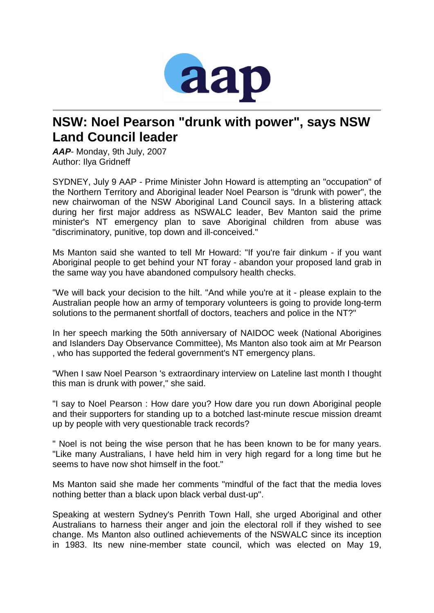

## **NSW: Noel Pearson "drunk with power", says NSW Land Council leader**

*AAP*- Monday, 9th July, 2007 Author: Ilya Gridneff

SYDNEY, July 9 AAP - Prime Minister John Howard is attempting an "occupation" of the Northern Territory and Aboriginal leader Noel Pearson is "drunk with power", the new chairwoman of the NSW Aboriginal Land Council says. In a blistering attack during her first major address as NSWALC leader, Bev Manton said the prime minister's NT emergency plan to save Aboriginal children from abuse was "discriminatory, punitive, top down and ill-conceived."

Ms Manton said she wanted to tell Mr Howard: "If you're fair dinkum - if you want Aboriginal people to get behind your NT foray - abandon your proposed land grab in the same way you have abandoned compulsory health checks.

"We will back your decision to the hilt. "And while you're at it - please explain to the Australian people how an army of temporary volunteers is going to provide long-term solutions to the permanent shortfall of doctors, teachers and police in the NT?"

In her speech marking the 50th anniversary of NAIDOC week (National Aborigines and Islanders Day Observance Committee), Ms Manton also took aim at Mr Pearson , who has supported the federal government's NT emergency plans.

"When I saw Noel Pearson 's extraordinary interview on Lateline last month I thought this man is drunk with power," she said.

"I say to Noel Pearson : How dare you? How dare you run down Aboriginal people and their supporters for standing up to a botched last-minute rescue mission dreamt up by people with very questionable track records?

" Noel is not being the wise person that he has been known to be for many years. "Like many Australians, I have held him in very high regard for a long time but he seems to have now shot himself in the foot."

Ms Manton said she made her comments "mindful of the fact that the media loves nothing better than a black upon black verbal dust-up".

Speaking at western Sydney's Penrith Town Hall, she urged Aboriginal and other Australians to harness their anger and join the electoral roll if they wished to see change. Ms Manton also outlined achievements of the NSWALC since its inception in 1983. Its new nine-member state council, which was elected on May 19,